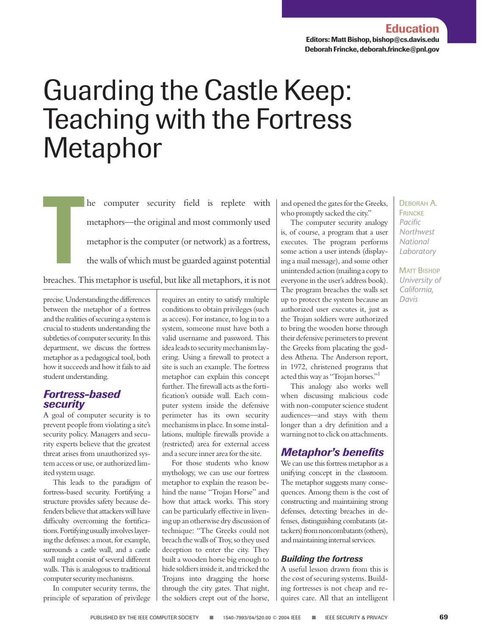## **Editors: Matt Bishop, bishop@cs.davis.edu Deborah Frincke, deborah.frincke@pnl.gov**

**Education**

# Guarding the Castle Keep: Teaching with the Fortress Metaphor

**T**<br>T<br>Prescher T he computer security field is replete with metaphors—the original and most commonly used metaphor is the computer (or network) as a fortress, the walls of which must be guarded against potential breaches. This metaphor is useful, but like all metaphors, it is not

precise. Understanding the differences between the metaphor of a fortress and the realities of securing a system is crucial to students understanding the subtleties of computer security. In this department, we discuss the fortress metaphor as a pedagogical tool, both how it succeeds and how it fails to aid student understanding.

## *Fortress-based security*

A goal of computer security is to prevent people from violating a site's security policy. Managers and security experts believe that the greatest threat arises from unauthorized system access or use, or authorized limited system usage.

This leads to the paradigm of fortress-based security. Fortifying a structure provides safety because defenders believe that attackers will have difficulty overcoming the fortifications. Fortifying usually involves layering the defenses: a moat, for example, surrounds a castle wall, and a castle wall might consist of several different walls. This is analogous to traditional computer security mechanisms.

In computer security terms, the principle of separation of privilege requires an entity to satisfy multiple conditions to obtain privileges (such as access). For instance, to log in to a system, someone must have both a valid username and password. This idea leads to security mechanism layering. Using a firewall to protect a site is such an example. The fortress metaphor can explain this concept further. The firewall acts as the fortification's outside wall. Each computer system inside the defensive perimeter has its own security mechanisms in place. In some installations, multiple firewalls provide a (restricted) area for external access and a secure inner area for the site.

For those students who know mythology, we can use our fortress metaphor to explain the reason behind the name "Trojan Horse" and how that attack works. This story can be particularly effective in livening up an otherwise dry discussion of technique: "The Greeks could not breach the walls of Troy, so they used deception to enter the city. They built a wooden horse big enough to hide soldiers inside it, and tricked the Trojans into dragging the horse through the city gates. That night, the soldiers crept out of the horse,

and opened the gates for the Greeks, who promptly sacked the city."

The computer security analogy is, of course, a program that a user executes. The program performs some action a user intends (displaying a mail message), and some other unintended action (mailing a copy to everyone in the user's address book). The program breaches the walls set up to protect the system because an authorized user executes it, just as the Trojan soldiers were authorized to bring the wooden horse through their defensive perimeters to prevent the Greeks from placating the goddess Athena. The Anderson report, in 1972, christened programs that acted this way as "Trojan horses."1

This analogy also works well when discussing malicious code with non-computer science student audiences—and stays with them longer than a dry definition and a warning not to click on attachments.

# *Metaphor's benefits*

We can use this fortress metaphor as a unifying concept in the classroom. The metaphor suggests many consequences. Among them is the cost of constructing and maintaining strong defenses, detecting breaches in defenses, distinguishing combatants (attackers) from noncombatants (others), and maintaining internal services.

## *Building the fortress*

A useful lesson drawn from this is the cost of securing systems. Building fortresses is not cheap and requires care. All that an intelligent

## DEBORAH A. **FRINCKE** *Pacific Northwest National Laboratory*

MATT BISHOP *University of California, Davis*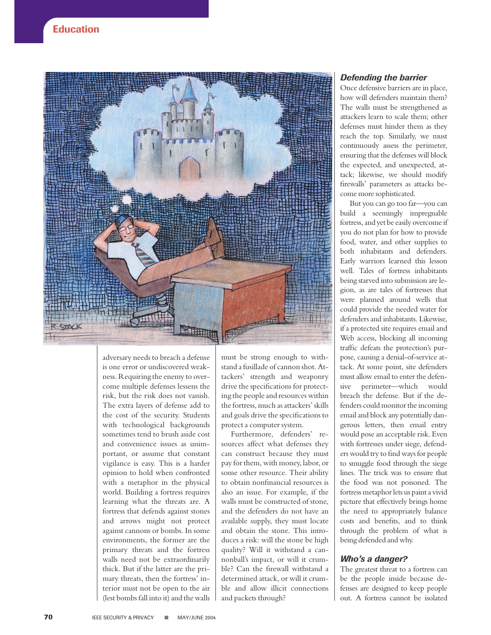

adversary needs to breach a defense is one error or undiscovered weakness. Requiring the enemy to overcome multiple defenses lessens the risk, but the risk does not vanish. The extra layers of defense add to the cost of the security. Students with technological backgrounds sometimes tend to brush aside cost and convenience issues as unimportant, or assume that constant vigilance is easy. This is a harder opinion to hold when confronted with a metaphor in the physical world. Building a fortress requires learning what the threats are. A fortress that defends against stones and arrows might not protect against cannons or bombs. In some environments, the former are the primary threats and the fortress walls need not be extraordinarily thick. But if the latter are the primary threats, then the fortress' interior must not be open to the air (lest bombs fall into it) and the walls

must be strong enough to withstand a fusillade of cannon shot. Attackers' strength and weaponry drive the specifications for protecting the people and resources within the fortress, much as attackers' skills and goals drive the specifications to protect a computer system.

Furthermore, defenders' resources affect what defenses they can construct because they must pay for them, with money, labor, or some other resource. Their ability to obtain nonfinancial resources is also an issue. For example, if the walls must be constructed of stone, and the defenders do not have an available supply, they must locate and obtain the stone. This introduces a risk: will the stone be high quality? Will it withstand a cannonball's impact, or will it crumble? Can the firewall withstand a determined attack, or will it crumble and allow illicit connections and packets through?

## *Defending the barrier*

Once defensive barriers are in place, how will defenders maintain them? The walls must be strengthened as attackers learn to scale them; other defenses must hinder them as they reach the top. Similarly, we must continuously assess the perimeter, ensuring that the defenses will block the expected, and unexpected, attack; likewise, we should modify firewalls' parameters as attacks become more sophisticated.

But you can go too far—you can build a seemingly impregnable fortress, and yet be easily overcome if you do not plan for how to provide food, water, and other supplies to both inhabitants and defenders. Early warriors learned this lesson well. Tales of fortress inhabitants being starved into submission are legion, as are tales of fortresses that were planned around wells that could provide the needed water for defenders and inhabitants. Likewise, if a protected site requires email and Web access, blocking all incoming traffic defeats the protection's purpose, causing a denial-of-service attack. At some point, site defenders must allow email to enter the defensive perimeter—which would breach the defense. But if the defenders could monitor the incoming email and block any potentially dangerous letters, then email entry would pose an acceptable risk. Even with fortresses under siege, defenders would try to find ways for people to smuggle food through the siege lines. The trick was to ensure that the food was not poisoned. The fortress metaphor lets us paint a vivid picture that effectively brings home the need to appropriately balance costs and benefits, and to think through the problem of what is being defended and why.

## *Who's a danger?*

The greatest threat to a fortress can be the people inside because defenses are designed to keep people out. A fortress cannot be isolated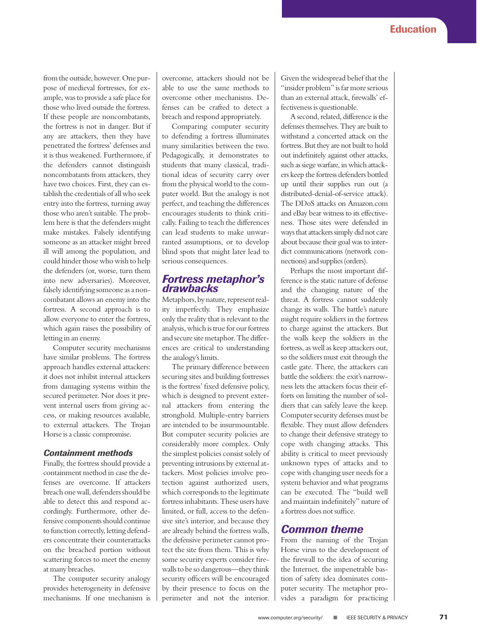from the outside, however. One purpose of medieval fortresses, for example, was to provide a safe place for those who lived outside the fortress. If these people are noncombatants, the fortress is not in danger. But if any are attackers, then they have penetrated the fortress' defenses and it is thus weakened. Furthermore, if the defenders cannot distinguish noncombatants from attackers, they have two choices. First, they can establish the credentials of all who seek entry into the fortress, turning away those who aren't suitable. The problem here is that the defenders might make mistakes. Falsely identifying someone as an attacker might breed ill will among the population, and could hinder those who wish to help the defenders (or, worse, turn them into new adversaries). Moreover, falsely identifying someone as a noncombatant allows an enemy into the fortress. A second approach is to allow everyone to enter the fortress, which again raises the possibility of letting in an enemy.

Computer security mechanisms have similar problems. The fortress approach handles external attackers: it does not inhibit internal attackers from damaging systems within the secured perimeter. Nor does it prevent internal users from giving access, or making resources available, to external attackers. The Trojan Horse is a classic compromise.

## *Containment methods*

Finally, the fortress should provide a containment method in case the defenses are overcome. If attackers breach one wall, defenders should be able to detect this and respond accordingly. Furthermore, other defensive components should continue to function correctly, letting defenders concentrate their counterattacks on the breached portion without scattering forces to meet the enemy at many breaches.

The computer security analogy provides heterogeneity in defensive mechanisms. If one mechanism is overcome, attackers should not be able to use the same methods to overcome other mechanisms. Defenses can be crafted to detect a breach and respond appropriately.

Comparing computer security to defending a fortress illuminates many similarities between the two. Pedagogically, it demonstrates to students that many classical, traditional ideas of security carry over from the physical world to the computer world. But the analogy is not perfect, and teaching the differences encourages students to think critically. Failing to teach the differences can lead students to make unwarranted assumptions, or to develop blind spots that might later lead to serious consequences.

## *Fortress metaphor's drawbacks*

Metaphors, by nature, represent reality imperfectly. They emphasize only the reality that is relevant to the analysis, which is true for our fortress and secure site metaphor. The differences are critical to understanding the analogy's limits.

The primary difference between securing sites and building fortresses is the fortress' fixed defensive policy, which is designed to prevent external attackers from entering the stronghold. Multiple-entry barriers are intended to be insurmountable. But computer security policies are considerably more complex. Only the simplest policies consist solely of preventing intrusions by external attackers. Most policies involve protection against authorized users, which corresponds to the legitimate fortress inhabitants. These users have limited, or full, access to the defensive site's interior, and because they are already behind the fortress walls, the defensive perimeter cannot protect the site from them. This is why some security experts consider firewalls to be so dangerous—they think security officers will be encouraged by their presence to focus on the perimeter and not the interior.

Given the widespread belief that the "insider problem" is far more serious than an external attack, firewalls' effectiveness is questionable.

A second, related, difference is the defenses themselves. They are built to withstand a concerted attack on the fortress. But they are not built to hold out indefinitely against other attacks, such as siege warfare, in which attackers keep the fortress defenders bottled up until their supplies run out (a distributed-denial-of-service attack). The DDoS attacks on Amazon.com and eBay bear witness to its effectiveness. Those sites were defended in ways that attackers simply did not care about because their goal was to interdict communications (network connections) and supplies (orders).

Perhaps the most important difference is the static nature of defense and the changing nature of the threat. A fortress cannot suddenly change its walls. The battle's nature might require soldiers in the fortress to charge against the attackers. But the walls keep the soldiers in the fortress, as well as keep attackers out, so the soldiers must exit through the castle gate. There, the attackers can battle the soldiers: the exit's narrowness lets the attackers focus their efforts on limiting the number of soldiers that can safely leave the keep. Computer security defenses must be flexible. They must allow defenders to change their defensive strategy to cope with changing attacks. This ability is critical to meet previously unknown types of attacks and to cope with changing user needs for a system behavior and what programs can be executed. The "build well and maintain indefinitely" nature of a fortress does not suffice.

## *Common theme*

From the naming of the Trojan Horse virus to the development of the firewall to the idea of securing the Internet, the impenetrable bastion of safety idea dominates computer security. The metaphor provides a paradigm for practicing